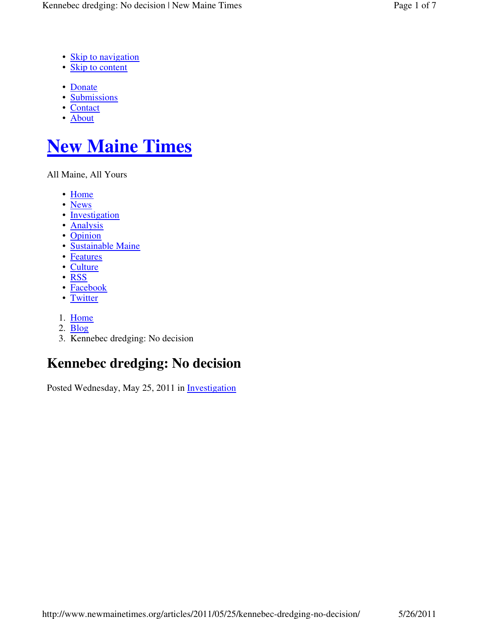- Skip to navigation
- Skip to content
- Donate
- Submissions
- Contact
- About

# **New Maine Times**

All Maine, All Yours

- Home
- News
- Investigation
- Analysis
- Opinion
- Sustainable Maine
- Features
- Culture
- RSS
- Facebook
- Twitter
- 1. Home
- 2. Blog
- 3. Kennebec dredging: No decision

# **Kennebec dredging: No decision**

Posted Wednesday, May 25, 2011 in Investigation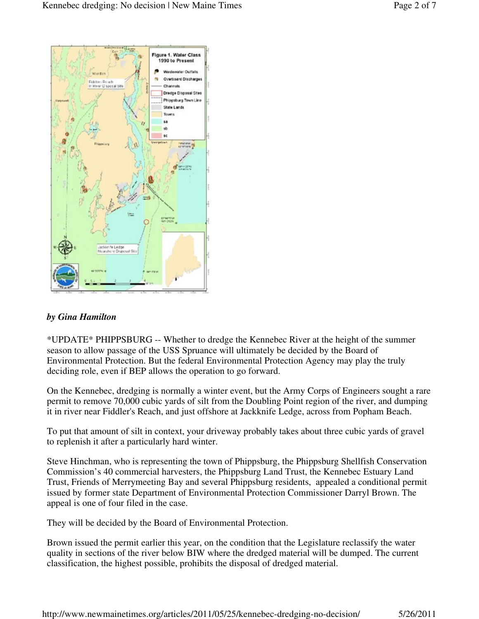

#### *by Gina Hamilton*

\*UPDATE\* PHIPPSBURG -- Whether to dredge the Kennebec River at the height of the summer season to allow passage of the USS Spruance will ultimately be decided by the Board of Environmental Protection. But the federal Environmental Protection Agency may play the truly deciding role, even if BEP allows the operation to go forward.

On the Kennebec, dredging is normally a winter event, but the Army Corps of Engineers sought a rare permit to remove 70,000 cubic yards of silt from the Doubling Point region of the river, and dumping it in river near Fiddler's Reach, and just offshore at Jackknife Ledge, across from Popham Beach.

To put that amount of silt in context, your driveway probably takes about three cubic yards of gravel to replenish it after a particularly hard winter.

Steve Hinchman, who is representing the town of Phippsburg, the Phippsburg Shellfish Conservation Commission's 40 commercial harvesters, the Phippsburg Land Trust, the Kennebec Estuary Land Trust, Friends of Merrymeeting Bay and several Phippsburg residents, appealed a conditional permit issued by former state Department of Environmental Protection Commissioner Darryl Brown. The appeal is one of four filed in the case.

They will be decided by the Board of Environmental Protection.

Brown issued the permit earlier this year, on the condition that the Legislature reclassify the water quality in sections of the river below BIW where the dredged material will be dumped. The current classification, the highest possible, prohibits the disposal of dredged material.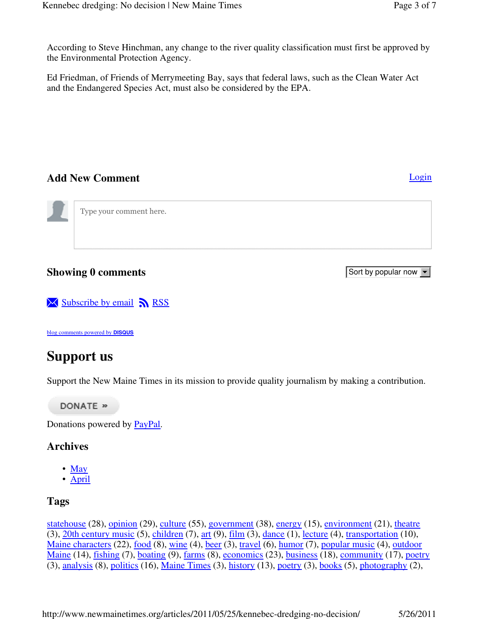According to Steve Hinchman, any change to the river quality classification must first be approved by the Environmental Protection Agency.

Ed Friedman, of Friends of Merrymeeting Bay, says that federal laws, such as the Clean Water Act and the Endangered Species Act, must also be considered by the EPA.

### **Add New Comment** Login **Login**

Type your comment here.

# **Showing 0 comments**

 $\overline{\mathsf{N}}$  Subscribe by email  $\overline{\mathsf{N}}$  RSS

blog comments powered by **DISQUS**

# **Support us**

Support the New Maine Times in its mission to provide quality journalism by making a contribution.

DONATE »

Donations powered by **PayPal**.

# **Archives**

- May
- April

# **Tags**

statehouse (28), opinion (29), culture (55), government (38), energy (15), environment (21), theatre (3), 20th century music (5), children (7), art (9), film (3), dance (1), lecture (4), transportation (10), Maine characters (22), food (8), wine (4), beer (3), travel (6), humor (7), popular music (4), outdoor Maine (14), fishing (7), boating (9), farms (8), economics (23), business (18), community (17), poetry  $(3)$ , analysis  $(8)$ , politics  $(16)$ , Maine Times  $(3)$ , history  $(13)$ , poetry  $(3)$ , books  $(5)$ , photography  $(2)$ ,

http://www.newmainetimes.org/articles/2011/05/25/kennebec-dredging-no-decision/ 5/26/2011

Sort by popular now  $\boxed{\mathbf{v}}$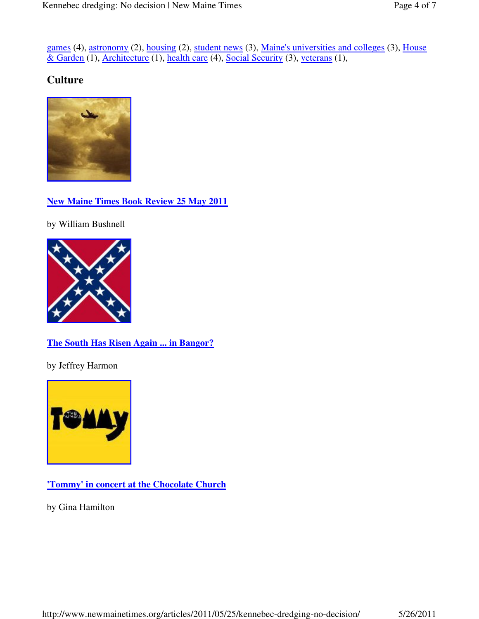games (4), astronomy (2), housing (2), student news (3), Maine's universities and colleges (3), House & Garden (1), Architecture (1), health care (4), Social Security (3), veterans (1),

## **Culture**



**New Maine Times Book Review 25 May 2011**

by William Bushnell



#### **The South Has Risen Again ... in Bangor?**

by Jeffrey Harmon



**'Tommy' in concert at the Chocolate Church**

by Gina Hamilton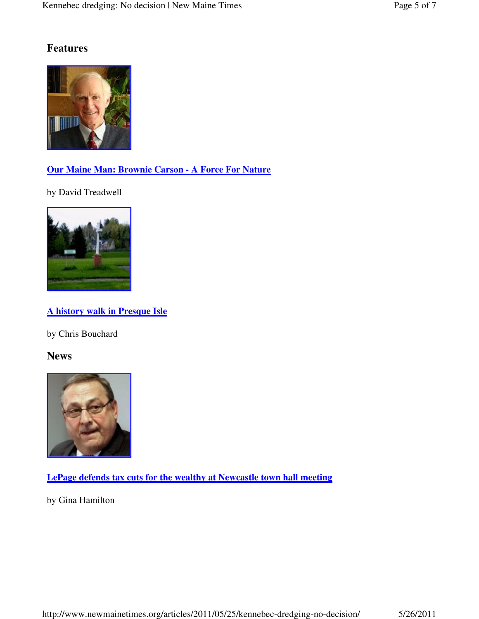# **Features**



# **Our Maine Man: Brownie Carson - A Force For Nature**

by David Treadwell



# **A history walk in Presque Isle**

by Chris Bouchard

**News**



**LePage defends tax cuts for the wealthy at Newcastle town hall meeting**

by Gina Hamilton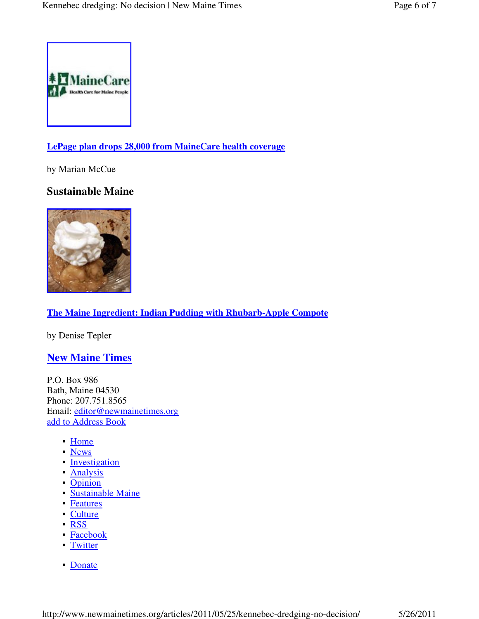

#### **LePage plan drops 28,000 from MaineCare health coverage**

by Marian McCue

### **Sustainable Maine**



#### **The Maine Ingredient: Indian Pudding with Rhubarb-Apple Compote**

by Denise Tepler

#### **New Maine Times**

P.O. Box 986 Bath, Maine 04530 Phone: 207.751.8565 Email: editor@newmainetimes.org add to Address Book

- Home
- News
- Investigation
- Analysis
- Opinion
- Sustainable Maine
- Features
- Culture
- RSS
- Facebook
- Twitter
- Donate